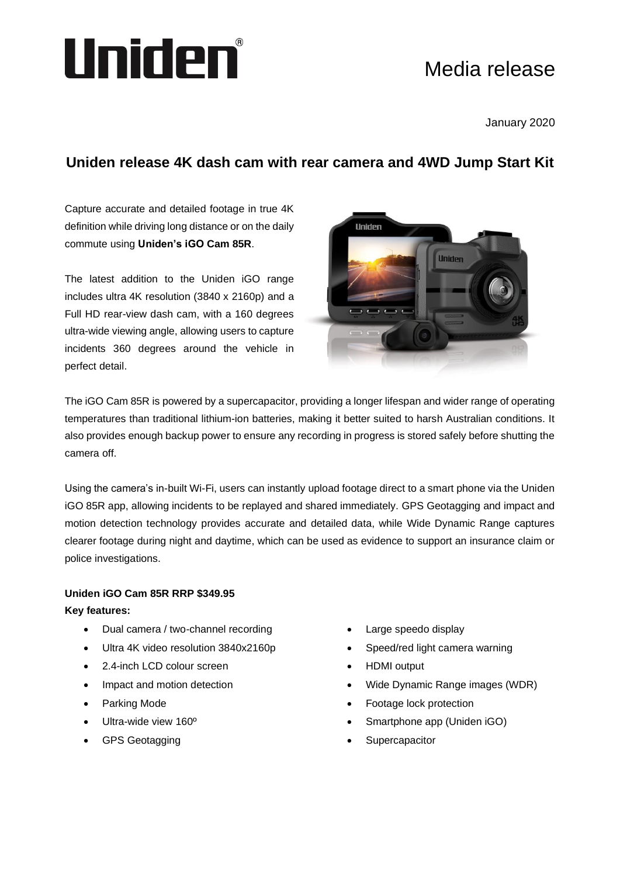# Media release



January 2020

## **Uniden release 4K dash cam with rear camera and 4WD Jump Start Kit**

Capture accurate and detailed footage in true 4K definition while driving long distance or on the daily commute using **Uniden's iGO Cam 85R**.

The latest addition to the Uniden iGO range includes ultra 4K resolution (3840 x 2160p) and a Full HD rear-view dash cam, with a 160 degrees ultra-wide viewing angle, allowing users to capture incidents 360 degrees around the vehicle in perfect detail.



The iGO Cam 85R is powered by a supercapacitor, providing a longer lifespan and wider range of operating temperatures than traditional lithium-ion batteries, making it better suited to harsh Australian conditions. It also provides enough backup power to ensure any recording in progress is stored safely before shutting the camera off.

Using the camera's in-built Wi-Fi, users can instantly upload footage direct to a smart phone via the Uniden iGO 85R app, allowing incidents to be replayed and shared immediately. GPS Geotagging and impact and motion detection technology provides accurate and detailed data, while Wide Dynamic Range captures clearer footage during night and daytime, which can be used as evidence to support an insurance claim or police investigations.

### **Uniden iGO Cam 85R RRP \$349.95**

#### **Key features:**

- Dual camera / two-channel recording
- Ultra 4K video resolution 3840x2160p
- 2.4-inch LCD colour screen
- Impact and motion detection
- Parking Mode
- Ultra-wide view 160º
- GPS Geotagging
- Large speedo display
- Speed/red light camera warning
- HDMI output
- Wide Dynamic Range images (WDR)
- Footage lock protection
- Smartphone app (Uniden iGO)
- **Supercapacitor**